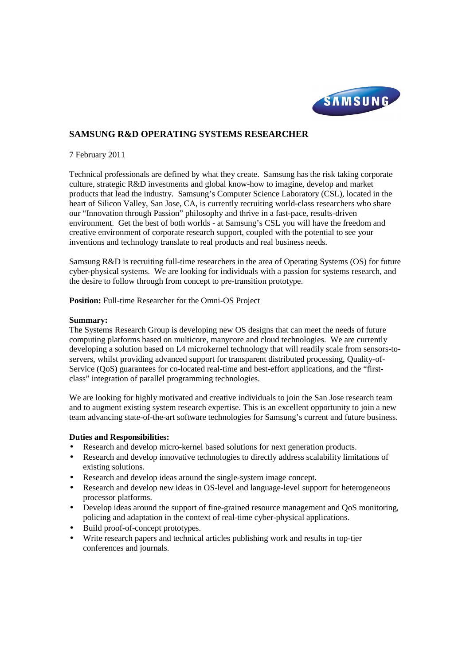

# **SAMSUNG R&D OPERATING SYSTEMS RESEARCHER**

## 7 February 2011

Technical professionals are defined by what they create. Samsung has the risk taking corporate culture, strategic R&D investments and global know-how to imagine, develop and market products that lead the industry. Samsung's Computer Science Laboratory (CSL), located in the heart of Silicon Valley, San Jose, CA, is currently recruiting world-class researchers who share our "Innovation through Passion" philosophy and thrive in a fast-pace, results-driven environment. Get the best of both worlds - at Samsung's CSL you will have the freedom and creative environment of corporate research support, coupled with the potential to see your inventions and technology translate to real products and real business needs.

Samsung R&D is recruiting full-time researchers in the area of Operating Systems (OS) for future cyber-physical systems. We are looking for individuals with a passion for systems research, and the desire to follow through from concept to pre-transition prototype.

**Position:** Full-time Researcher for the Omni-OS Project

#### **Summary:**

The Systems Research Group is developing new OS designs that can meet the needs of future computing platforms based on multicore, manycore and cloud technologies. We are currently developing a solution based on L4 microkernel technology that will readily scale from sensors-toservers, whilst providing advanced support for transparent distributed processing, Quality-of-Service (QoS) guarantees for co-located real-time and best-effort applications, and the "firstclass" integration of parallel programming technologies.

We are looking for highly motivated and creative individuals to join the San Jose research team and to augment existing system research expertise. This is an excellent opportunity to join a new team advancing state-of-the-art software technologies for Samsung's current and future business.

## **Duties and Responsibilities:**

- Research and develop micro-kernel based solutions for next generation products.
- Research and develop innovative technologies to directly address scalability limitations of existing solutions.
- Research and develop ideas around the single-system image concept.
- Research and develop new ideas in OS-level and language-level support for heterogeneous processor platforms.
- Develop ideas around the support of fine-grained resource management and QoS monitoring, policing and adaptation in the context of real-time cyber-physical applications.
- Build proof-of-concept prototypes.
- Write research papers and technical articles publishing work and results in top-tier conferences and journals.